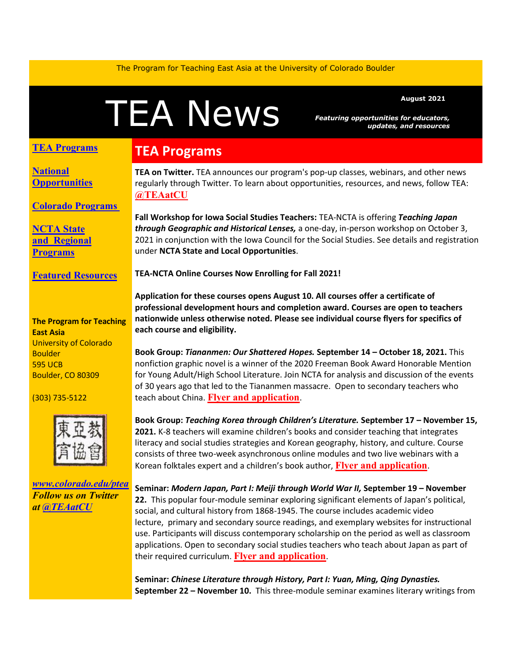The Program for Teaching East Asia at the University of Colorado Boulder

# A News *Featuring opportunities for educators*<br>updates, and resource

*Featuring opportunities for educators, updates, and resources*

#### **TEA Programs**

**[National](#page-1-0)  [Opportunities](#page-1-0)**

**[Colorado Programs](#page-2-0)**

**[NCTA State](#page-2-1)  and [Regional](#page-2-1)  [Programs](#page-2-1)**

**[Featured Resources](#page-2-2)**

#### **The Program for Teaching East Asia** University of Colorado **Boulder** 595 UCB Boulder, CO 80309

(303) 735-5122



*[www.colorado.edu/ptea](http://www.colorado.edu/cas/tea) Follow us on Twitter at [@TEAatCU](https://twitter.com/TEAatCU)*

## **TEA Programs**

**TEA on Twitter.** TEA announces our program's pop-up classes, webinars, and other news regularly through Twitter. To learn about opportunities, resources, and news, follow TEA: **[@TEAatCU](https://twitter.com/TEAatCU)**

**Fall Workshop for Iowa Social Studies Teachers:** TEA-NCTA is offering *Teaching Japan through Geographic and Historical Lenses,* a one-day, in-person workshop on October 3, 2021 in conjunction with the Iowa Council for the Social Studies. See details and registration under **NCTA State and Local Opportunities**.

**TEA-NCTA Online Courses Now Enrolling for Fall 2021!** 

**Application for these courses opens August 10. All courses offer a certificate of professional development hours and completion award. Courses are open to teachers nationwide unless otherwise noted. Please see individual course flyers for specifics of each course and eligibility.**

**Book Group:** *Tiananmen: Our Shattered Hopes.* **September 14 – October 18, 2021.** This nonfiction graphic novel is a winner of the 2020 Freeman Book Award Honorable Mention for Young Adult/High School Literature. Join NCTA for analysis and discussion of the events of 30 years ago that led to the Tiananmen massacre. Open to secondary teachers who teach about China. **[Flyer and application](https://www.colorado.edu/ptea/sites/default/files/attached-files/tiananmen1989flyer.pdf)**.

**Book Group:** *Teaching Korea through Children's Literature.* **September 17 – November 15, 2021.** K-8 teachers will examine children's books and consider teaching that integrates literacy and social studies strategies and Korean geography, history, and culture. Course consists of three two-week asynchronous online modules and two live webinars with a Korean folktales expert and a children's book author, **[Flyer and application](https://www.colorado.edu/ptea/content/koreachildlit2021flyer)**.

**Seminar:** *Modern Japan, Part I: Meiji through World War II,* **September 19 – November 22.** This popular four-module seminar exploring significant elements of Japan's political, social, and cultural history from 1868-1945. The course includes academic video lecture, primary and secondary source readings, and exemplary websites for instructional use. Participants will discuss contemporary scholarship on the period as well as classroom applications. Open to secondary social studies teachers who teach about Japan as part of their required curriculum. **[Flyer and application](https://www.colorado.edu/ptea/node/915/attachment)**.

**Seminar:** *Chinese Literature through History, Part I: Yuan, Ming, Qing Dynasties.*  **September 22 – November 10.** This three-module seminar examines literary writings from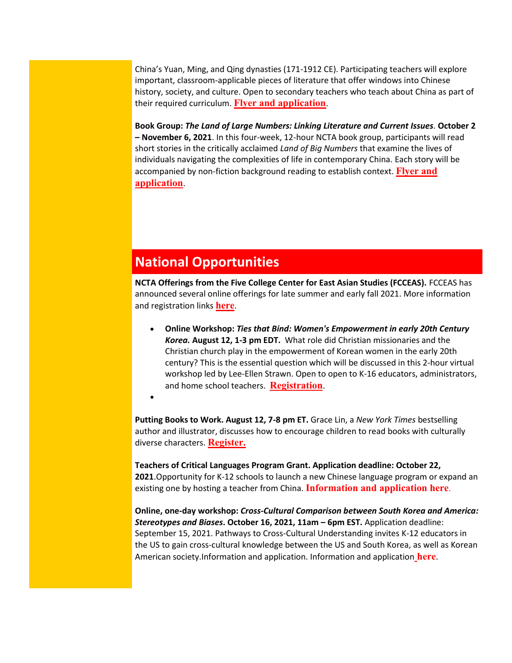China's Yuan, Ming, and Qing dynasties (171-1912 CE). Participating teachers will explore important, classroom-applicable pieces of literature that offer windows into Chinese history, society, and culture. Open to secondary teachers who teach about China as part of their required curriculum. **[Flyer and application](https://www.colorado.edu/ptea/sites/default/files/attached-files/lit_hist_2021_courseflyer.pdf)**.

**Book Group:** *The Land of Large Numbers: Linking Literature and Current Issues.* **October 2 – November 6, 2021**. In this four-week, 12-hour NCTA book group, participants will read short stories in the critically acclaimed *Land of Big Numbers* that examine the lives of individuals navigating the complexities of life in contemporary China. Each story will be accompanied by non-fiction background reading to establish context. **[Flyer and](https://www.colorado.edu/ptea/content/chinanumbersflyer)  [application](https://www.colorado.edu/ptea/content/chinanumbersflyer)**.

#### <span id="page-1-0"></span>**National Opportunities**

•

**NCTA Offerings from the Five College Center for East Asian Studies (FCCEAS).** FCCEAS has announced several online offerings for late summer and early fall 2021. More information and registration links **[here](https://www.fivecolleges.edu/fcceas)**.

• **Online Workshop:** *Ties that Bind: Women's Empowerment in early 20th Century Korea.* **August 12, 1-3 pm EDT.** What role did Christian missionaries and the Christian church play in the empowerment of Korean women in the early 20th century? This is the essential question which will be discussed in this 2-hour virtual workshop led by Lee-Ellen Strawn. Open to open to K-16 educators, administrators, and home school teachers. **[Registration](https://www.fivecolleges.edu/fcceas/ncta/2021-women-in-korea-workshop)**.

**Putting Books to Work. August 12, 7-8 pm ET.** Grace Lin, a *New York Times* bestselling author and illustrator, discusses how to encourage children to read books with culturally diverse characters. **[Register.](https://secure-web.cisco.com/1dLAuGHOgoLT8bj_BDO7MQlKue5Hv3a83An99vDeMmeX7_4JFM18_oopFaFR9Q7I2f8c2mNzBC0Re7tafkX_8uXK1aAVhEkC8ZWB3MyNcAENwXl8ZNAS9Kh7xj-qZTTApZ7jaupTAMgb_XN1ePvspdaoRclrEPFx1aq4-Il51_HIZpZwA2R_pdsk2A6MmMCqPM9GKBtvGbC8IKbk8nlieJC33c-ZgMjDBy1y3Ay50E3MLorWYj7CUaGboOa8C4ADMCp7jodAcXfAQpQbU49_SpbM4KvkTTplsnHfYvfNKkCcUTj09GA7i6w_c_rFJq9Fa7xt8GShOZU8CHdsCOZPp6E8c7wgMSldrW0PhqO-oFtIKk5G065dLFzW_3dWtCjaybgSA6HNRjC5TAU8mTrslxDUuTCK0TCtocjtvmeFX-7F5vEnypaXBKsL8Line8Nz-CRTaFtMtKBVU4rqK8wO8dg/https%3A%2F%2Fwww.carlemuseum.org%2Fvisit%2Fevents%2Fputting-books-work%3Ffbclid%3DIwAR1BXJDsOzKjgzL8jVZgKV0e5pQngEmD7ANfJz5nMJb3tFQiIC9FseOhSjI)**

**Teachers of Critical Languages Program Grant. Application deadline: October 22, 2021**.Opportunity for K-12 schools to launch a new Chinese language program or expand an existing one by hosting a teacher from China. **[Information and application here](https://tclprogram.org/apply-us-schools)**.

**Online, one-day workshop:** *Cross-Cultural Comparison between South Korea and America: Stereotypes and Biases***. October 16, 2021, 11am – 6pm EST.** Application deadline: September 15, 2021. Pathways to Cross-Cultural Understanding invites K-12 educators in the US to gain cross-cultural knowledge between the US and South Korea, as well as Korean American society.Information and application. Information and application **[here](https://secure-web.cisco.com/1TVReTmxAOUX24SHOIbUEwvwl8q8zt-vCLuYpfDcoGa1eHuyh52uor-3Prui4UWvk6eu4Dis35-IdDm0A8E2b5iwFKbDWx9Ao5dKxoMeVh1z5Z2if-VgzcnJF8qZCwO1ZSzb01qqu8FVsSJ_JRKWq21ell74irbtxRo_au3uS_DU1GA_r07my9S4XgFOcY--Up5okAWxwYMC3krmrB23XVVv40mhwTliKHpEJTdbEuT16eb2xz7vhqVaQLeji7-N32mWv5bPb3c7Wcvf0tSumVsjPvdVrFqKLJyFw08eVhaXbMk4jxDjaEE-yqf4D4IHsrmBAAh7bRl1oaVmvkp-DmGPloNp3dcxD91xXdcumi97dwa1iuWd0sGd-bJ4z6REnVw0OlenKfwSIZERoQkJFOIo1_5DTlbHc_-Ceqp0Sm9KZ18Aa2SLnct5ljQjEUSH3KbaAa78e2cPRwyg0N9t7UQ/https%3A%2F%2Fwww.pcrosscultural.com%2Fevent-details%2Fstereotypes-and-discrimination)**.